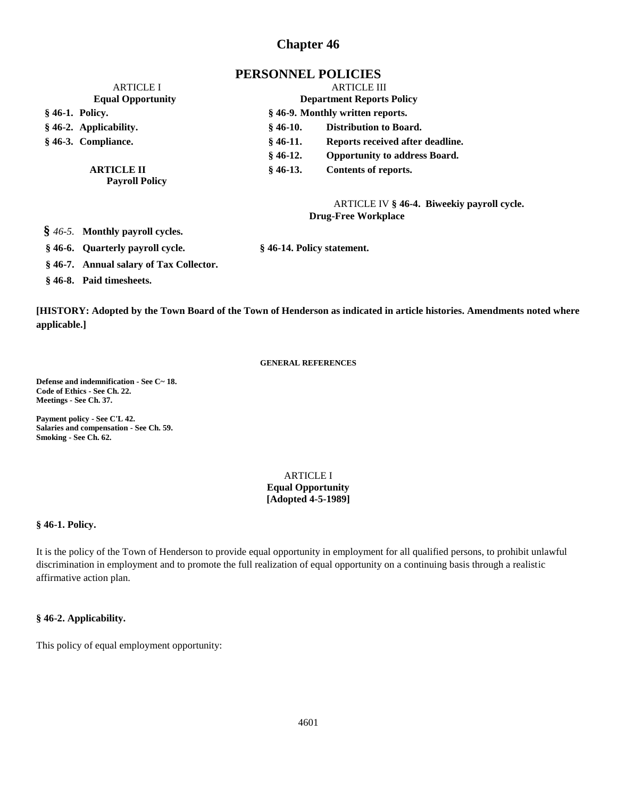# **Chapter 46**

# **PERSONNEL POLICIES**

| <b>ARTICLE I</b><br><b>Equal Opportunity</b> |                        | <b>ARTICLE III</b><br><b>Department Reports Policy</b> |                                      |
|----------------------------------------------|------------------------|--------------------------------------------------------|--------------------------------------|
|                                              |                        |                                                        |                                      |
|                                              | § 46-2. Applicability. | $§$ 46-10.                                             | Distribution to Board.               |
|                                              | § 46-3. Compliance.    | $§$ 46-11.                                             | Reports received after deadline.     |
|                                              |                        | $§$ 46-12.                                             | <b>Opportunity to address Board.</b> |
|                                              | <b>ARTICLE II</b>      | $§$ 46-13.                                             | Contents of reports.                 |
| <b>Payroll Policy</b>                        |                        |                                                        |                                      |

ARTICLE IV **§ 46-4. Biweekiy payroll cycle. Drug-Free Workplace**

**§** *46-5.* **Monthly payroll cycles.**

**§ 46-6. Quarterly payroll cycle. § 46-14. Policy statement.**

**§ 46-7. Annual salary of Tax Collector. § 46-8. Paid timesheets.**

**[HISTORY: Adopted by the Town Board of the Town of Henderson as indicated in article histories. Amendments noted where applicable.]**

## **GENERAL REFERENCES**

**Defense and indemnification - See C~ 18. Code of Ethics - See Ch. 22. Meetings - See Ch. 37.**

**Payment policy - See C'L 42. Salaries and compensation - See Ch. 59. Smoking - See Ch. 62.**

# ARTICLE I **Equal Opportunity [Adopted 4-5-1989]**

#### **§ 46-1. Policy.**

It is the policy of the Town of Henderson to provide equal opportunity in employment for all qualified persons, to prohibit unlawful discrimination in employment and to promote the full realization of equal opportunity on a continuing basis through a realistic affirmative action plan.

#### **§ 46-2. Applicability.**

This policy of equal employment opportunity: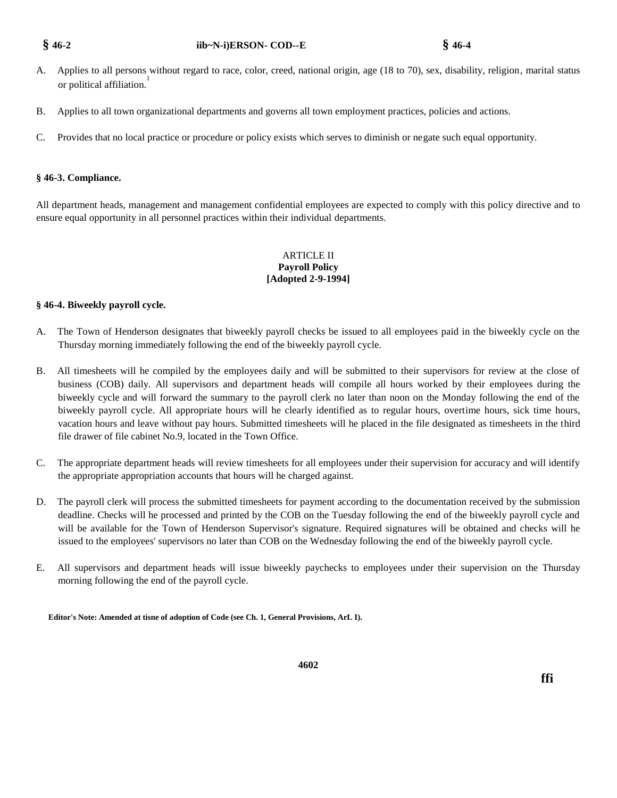# **§ 46-2 iib~N-i)ERSON- COD--E § 46-4**

- A. Applies to all persons without regard to race, color, creed, national origin, age (18 to 70), sex, disability, religion, marital status or political affiliation. 1
- B. Applies to all town organizational departments and governs all town employment practices, policies and actions.
- C. Provides that no local practice or procedure or policy exists which serves to diminish or negate such equal opportunity.

# **§ 46-3. Compliance.**

All department heads, management and management confidential employees are expected to comply with this policy directive and to ensure equal opportunity in all personnel practices within their individual departments.

# ARTICLE II **Payroll Policy [Adopted 2-9-1994]**

# **§ 46-4. Biweekly payroll cycle.**

- A. The Town of Henderson designates that biweekly payroll checks be issued to all employees paid in the biweekly cycle on the Thursday morning immediately following the end of the biweekly payroll cycle.
- B. All timesheets will he compiled by the employees daily and will be submitted to their supervisors for review at the close of business (COB) daily. All supervisors and department heads will compile all hours worked by their employees during the biweekly cycle and will forward the summary to the payroll clerk no later than noon on the Monday following the end of the biweekly payroll cycle. All appropriate hours will he clearly identified as to regular hours, overtime hours, sick time hours, vacation hours and leave without pay hours. Submitted timesheets will he placed in the file designated as timesheets in the third file drawer of file cabinet No.9, located in the Town Office.
- C. The appropriate department heads will review timesheets for all employees under their supervision for accuracy and will identify the appropriate appropriation accounts that hours will he charged against.
- D. The payroll clerk will process the submitted timesheets for payment according to the documentation received by the submission deadline. Checks will he processed and printed by the COB on the Tuesday following the end of the biweekly payroll cycle and will be available for the Town of Henderson Supervisor's signature. Required signatures will be obtained and checks will he issued to the employees' supervisors no later than COB on the Wednesday following the end of the biweekly payroll cycle.
- E. All supervisors and department heads will issue biweekly paychecks to employees under their supervision on the Thursday morning following the end of the payroll cycle.

**Editor's Note: Amended at tisne of adoption of Code (see Ch. 1, General Provisions, ArL I).**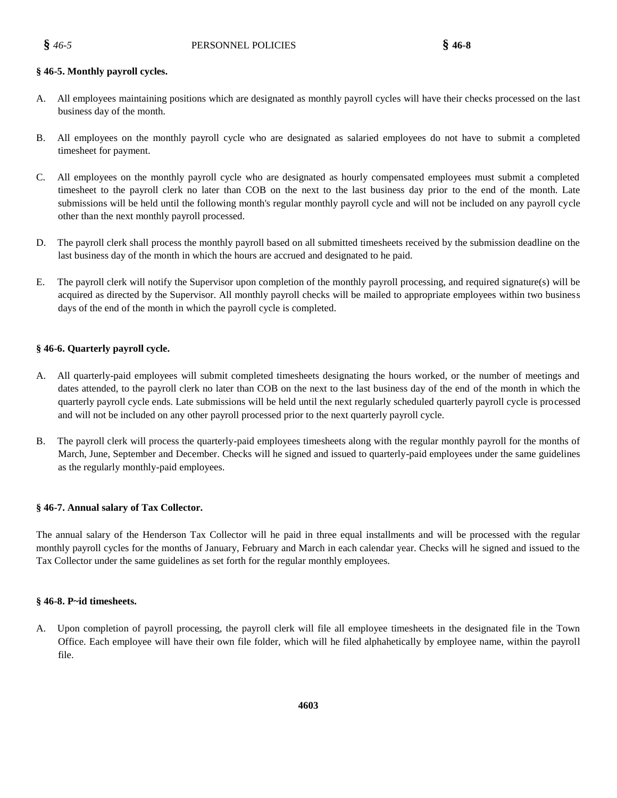## **§ 46-5. Monthly payroll cycles.**

- A. All employees maintaining positions which are designated as monthly payroll cycles will have their checks processed on the last business day of the month.
- B. All employees on the monthly payroll cycle who are designated as salaried employees do not have to submit a completed timesheet for payment.
- C. All employees on the monthly payroll cycle who are designated as hourly compensated employees must submit a completed timesheet to the payroll clerk no later than COB on the next to the last business day prior to the end of the month. Late submissions will be held until the following month's regular monthly payroll cycle and will not be included on any payroll cycle other than the next monthly payroll processed.
- D. The payroll clerk shall process the monthly payroll based on all submitted timesheets received by the submission deadline on the last business day of the month in which the hours are accrued and designated to he paid.
- E. The payroll clerk will notify the Supervisor upon completion of the monthly payroll processing, and required signature(s) will be acquired as directed by the Supervisor. All monthly payroll checks will be mailed to appropriate employees within two business days of the end of the month in which the payroll cycle is completed.

# **§ 46-6. Quarterly payroll cycle.**

- A. All quarterly-paid employees will submit completed timesheets designating the hours worked, or the number of meetings and dates attended, to the payroll clerk no later than COB on the next to the last business day of the end of the month in which the quarterly payroll cycle ends. Late submissions will be held until the next regularly scheduled quarterly payroll cycle is processed and will not be included on any other payroll processed prior to the next quarterly payroll cycle.
- B. The payroll clerk will process the quarterly-paid employees timesheets along with the regular monthly payroll for the months of March, June, September and December. Checks will he signed and issued to quarterly-paid employees under the same guidelines as the regularly monthly-paid employees.

#### **§ 46-7. Annual salary of Tax Collector.**

The annual salary of the Henderson Tax Collector will he paid in three equal installments and will be processed with the regular monthly payroll cycles for the months of January, February and March in each calendar year. Checks will he signed and issued to the Tax Collector under the same guidelines as set forth for the regular monthly employees.

#### **§ 46-8. P~id timesheets.**

A. Upon completion of payroll processing, the payroll clerk will file all employee timesheets in the designated file in the Town Office. Each employee will have their own file folder, which will he filed alphahetically by employee name, within the payroll file.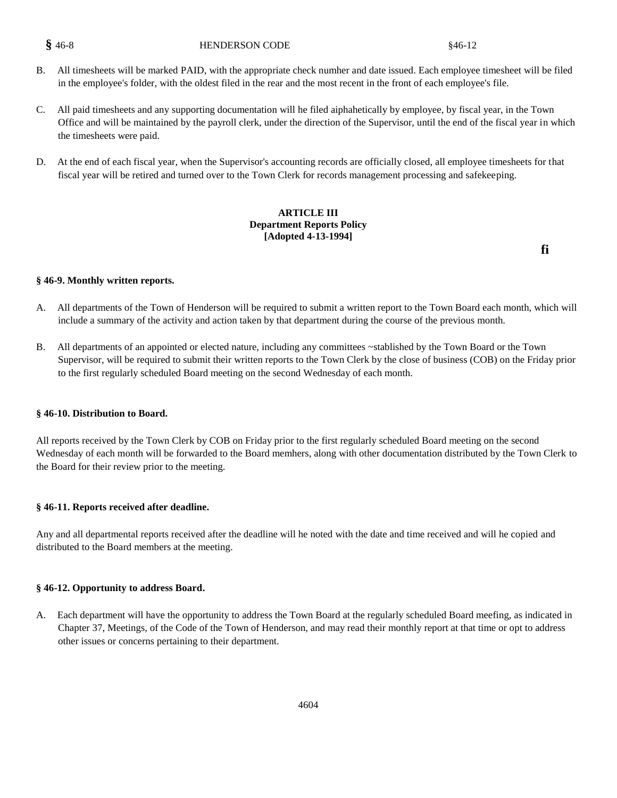# **§** 46-8 **HENDERSON CODE** § 46-12

- B. All timesheets will be marked PAID, with the appropriate check numher and date issued. Each employee timesheet will be filed in the employee's folder, with the oldest filed in the rear and the most recent in the front of each employee's file.
- C. All paid timesheets and any supporting documentation will he filed aiphahetically by employee, by fiscal year, in the Town Office and will be maintained by the payroll clerk, under the direction of the Supervisor, until the end of the fiscal year in which the timesheets were paid.
- D. At the end of each fiscal year, when the Supervisor's accounting records are officially closed, all employee timesheets for that fiscal year will be retired and turned over to the Town Clerk for records management processing and safekeeping.

## **ARTICLE III Department Reports Policy [Adopted 4-13-1994]**

**fi**

#### **§ 46-9. Monthly written reports.**

- A. All departments of the Town of Henderson will be required to submit a written report to the Town Board each month, which will include a summary of the activity and action taken by that department during the course of the previous month.
- B. All departments of an appointed or elected nature, including any committees ~stablished by the Town Board or the Town Supervisor, will be required to submit their written reports to the Town Clerk by the close of business (COB) on the Friday prior to the first regularly scheduled Board meeting on the second Wednesday of each month.

#### **§ 46-10. Distribution to Board.**

All reports received by the Town Clerk by COB on Friday prior to the first regularly scheduled Board meeting on the second Wednesday of each month will be forwarded to the Board memhers, along with other documentation distributed by the Town Clerk to the Board for their review prior to the meeting.

#### **§ 46-11. Reports received after deadline.**

Any and all departmental reports received after the deadline will he noted with the date and time received and will he copied and distributed to the Board members at the meeting.

#### **§ 46-12. Opportunity to address Board.**

A. Each department will have the opportunity to address the Town Board at the regularly scheduled Board meefing, as indicated in Chapter 37, Meetings, of the Code of the Town of Henderson, and may read their monthly report at that time or opt to address other issues or concerns pertaining to their department.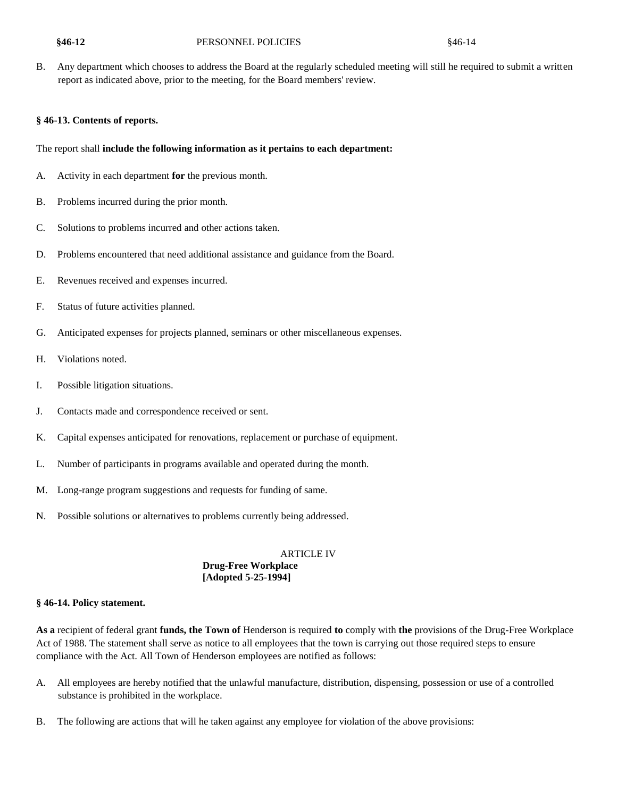### **§46-12** PERSONNEL POLICIES §46-14

B. Any department which chooses to address the Board at the regularly scheduled meeting will still he required to submit a written report as indicated above, prior to the meeting, for the Board members' review.

### **§ 46-13. Contents of reports.**

### The report shall **include the following information as it pertains to each department:**

- A. Activity in each department **for** the previous month.
- B. Problems incurred during the prior month.
- C. Solutions to problems incurred and other actions taken.
- D. Problems encountered that need additional assistance and guidance from the Board.
- E. Revenues received and expenses incurred.
- F. Status of future activities planned.
- G. Anticipated expenses for projects planned, seminars or other miscellaneous expenses.
- H. Violations noted.
- I. Possible litigation situations.
- J. Contacts made and correspondence received or sent.
- K. Capital expenses anticipated for renovations, replacement or purchase of equipment.
- L. Number of participants in programs available and operated during the month.
- M. Long-range program suggestions and requests for funding of same.
- N. Possible solutions or alternatives to problems currently being addressed.

# ARTICLE IV **Drug-Free Workplace [Adopted 5-25-1994]**

#### **§ 46-14. Policy statement.**

**As a** recipient of federal grant **funds, the Town of** Henderson is required **to** comply with **the** provisions of the Drug-Free Workplace Act of 1988. The statement shall serve as notice to all employees that the town is carrying out those required steps to ensure compliance with the Act. All Town of Henderson employees are notified as follows:

- A. All employees are hereby notified that the unlawful manufacture, distribution, dispensing, possession or use of a controlled substance is prohibited in the workplace.
- B. The following are actions that will he taken against any employee for violation of the above provisions: